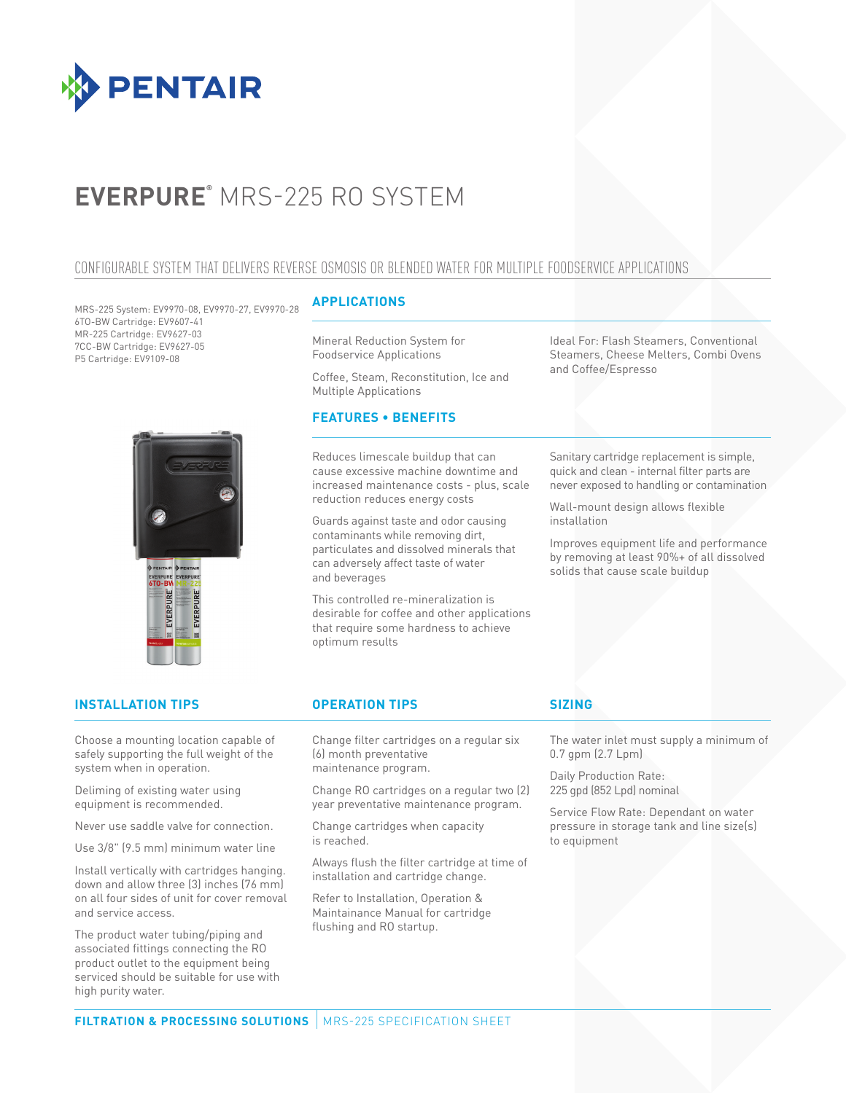

# **EVERPURE®** MRS-225 RO SYSTEM

# CONFIGURABLE SYSTEM THAT DELIVERS REVERSE OSMOSIS OR BLENDED WATER FOR MULTIPLE FOODSERVICE APPLICATIONS

MRS-225 System: EV9970-08, EV9970-27, EV9970-28 6TO-BW Cartridge: EV9607-41 MR-225 Cartridge: EV9627-03 7CC-BW Cartridge: EV9627-05 P5 Cartridge: EV9109-08



### **APPLICATIONS**

Mineral Reduction System for Foodservice Applications

Coffee, Steam, Reconstitution, Ice and Multiple Applications

# **FEATURES • BENEFITS**

Reduces limescale buildup that can cause excessive machine downtime and increased maintenance costs - plus, scale reduction reduces energy costs

Guards against taste and odor causing contaminants while removing dirt, particulates and dissolved minerals that can adversely affect taste of water and beverages

This controlled re-mineralization is desirable for coffee and other applications that require some hardness to achieve optimum results

Ideal For: Flash Steamers, Conventional Steamers, Cheese Melters, Combi Ovens and Coffee/Espresso

Sanitary cartridge replacement is simple, quick and clean - internal filter parts are never exposed to handling or contamination

Wall-mount design allows flexible installation

Improves equipment life and performance by removing at least 90%+ of all dissolved solids that cause scale buildup

# **INSTALLATION TIPS OPERATION TIPS**

Choose a mounting location capable of safely supporting the full weight of the system when in operation.

Deliming of existing water using equipment is recommended.

Never use saddle valve for connection.

Use 3/8" (9.5 mm) minimum water line

Install vertically with cartridges hanging. down and allow three (3) inches (76 mm) on all four sides of unit for cover removal and service access.

The product water tubing/piping and associated fittings connecting the RO product outlet to the equipment being serviced should be suitable for use with high purity water.

Change filter cartridges on a regular six (6) month preventative maintenance program.

Change RO cartridges on a regular two (2) year preventative maintenance program.

Change cartridges when capacity is reached.

Always flush the filter cartridge at time of installation and cartridge change.

Refer to Installation, Operation & Maintainance Manual for cartridge flushing and RO startup.

# **SIZING**

The water inlet must supply a minimum of 0.7 gpm (2.7 Lpm)

Daily Production Rate: 225 gpd (852 Lpd) nominal

Service Flow Rate: Dependant on water pressure in storage tank and line size(s) to equipment